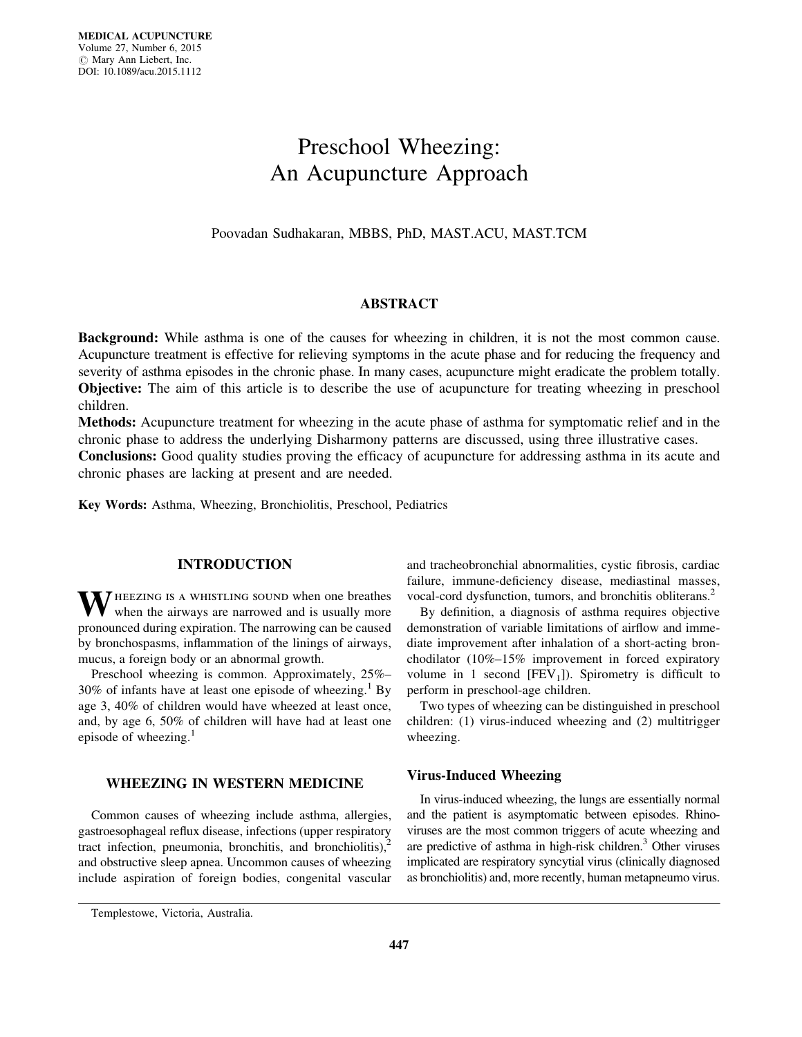# Preschool Wheezing: An Acupuncture Approach

Poovadan Sudhakaran, MBBS, PhD, MAST.ACU, MAST.TCM

# ABSTRACT

Background: While asthma is one of the causes for wheezing in children, it is not the most common cause. Acupuncture treatment is effective for relieving symptoms in the acute phase and for reducing the frequency and severity of asthma episodes in the chronic phase. In many cases, acupuncture might eradicate the problem totally. Objective: The aim of this article is to describe the use of acupuncture for treating wheezing in preschool children.

Methods: Acupuncture treatment for wheezing in the acute phase of asthma for symptomatic relief and in the chronic phase to address the underlying Disharmony patterns are discussed, using three illustrative cases. Conclusions: Good quality studies proving the efficacy of acupuncture for addressing asthma in its acute and

chronic phases are lacking at present and are needed.

Key Words: Asthma, Wheezing, Bronchiolitis, Preschool, Pediatrics

# INTRODUCTION

WHEEZING IS A WHISTLING SOUND when one breathes when the airways are narrowed and is usually more pronounced during expiration. The narrowing can be caused by bronchospasms, inflammation of the linings of airways, mucus, a foreign body or an abnormal growth.

Preschool wheezing is common. Approximately, 25%–  $30\%$  of infants have at least one episode of wheezing.<sup>1</sup> By age 3, 40% of children would have wheezed at least once, and, by age 6, 50% of children will have had at least one episode of wheezing. $<sup>1</sup>$ </sup>

## WHEEZING IN WESTERN MEDICINE

Common causes of wheezing include asthma, allergies, gastroesophageal reflux disease, infections (upper respiratory tract infection, pneumonia, bronchitis, and bronchiolitis), $^{2}$ and obstructive sleep apnea. Uncommon causes of wheezing include aspiration of foreign bodies, congenital vascular

and tracheobronchial abnormalities, cystic fibrosis, cardiac failure, immune-deficiency disease, mediastinal masses, vocal-cord dysfunction, tumors, and bronchitis obliterans.<sup>2</sup>

By definition, a diagnosis of asthma requires objective demonstration of variable limitations of airflow and immediate improvement after inhalation of a short-acting bronchodilator (10%–15% improvement in forced expiratory volume in 1 second  $[FEV<sub>1</sub>]$ ). Spirometry is difficult to perform in preschool-age children.

Two types of wheezing can be distinguished in preschool children: (1) virus-induced wheezing and (2) multitrigger wheezing.

#### Virus-Induced Wheezing

In virus-induced wheezing, the lungs are essentially normal and the patient is asymptomatic between episodes. Rhinoviruses are the most common triggers of acute wheezing and are predictive of asthma in high-risk children. $3$  Other viruses implicated are respiratory syncytial virus (clinically diagnosed as bronchiolitis) and, more recently, human metapneumo virus.

Templestowe, Victoria, Australia.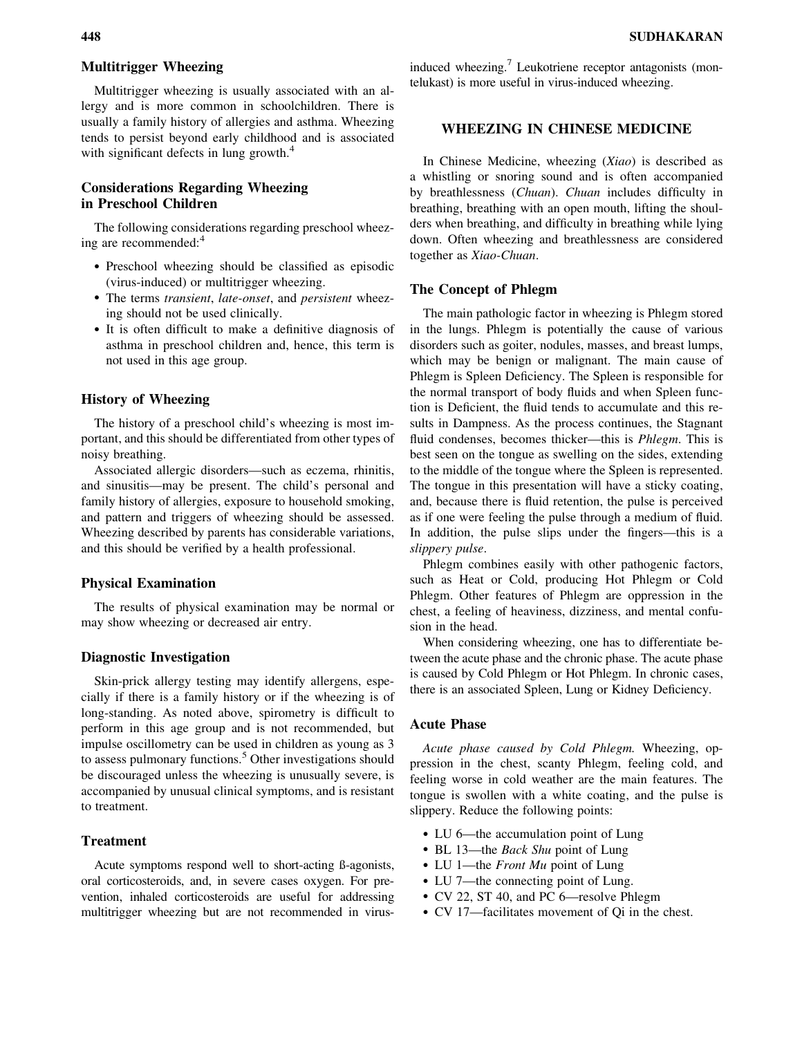## Multitrigger Wheezing

Multitrigger wheezing is usually associated with an allergy and is more common in schoolchildren. There is usually a family history of allergies and asthma. Wheezing tends to persist beyond early childhood and is associated with significant defects in lung growth.<sup>4</sup>

# Considerations Regarding Wheezing in Preschool Children

The following considerations regarding preschool wheezing are recommended:<sup>4</sup>

- ! Preschool wheezing should be classified as episodic (virus-induced) or multitrigger wheezing.
- ! The terms transient, late-onset, and persistent wheezing should not be used clinically.
- ! It is often difficult to make a definitive diagnosis of asthma in preschool children and, hence, this term is not used in this age group.

## History of Wheezing

The history of a preschool child's wheezing is most important, and this should be differentiated from other types of noisy breathing.

Associated allergic disorders—such as eczema, rhinitis, and sinusitis—may be present. The child's personal and family history of allergies, exposure to household smoking, and pattern and triggers of wheezing should be assessed. Wheezing described by parents has considerable variations, and this should be verified by a health professional.

#### Physical Examination

The results of physical examination may be normal or may show wheezing or decreased air entry.

## Diagnostic Investigation

Skin-prick allergy testing may identify allergens, especially if there is a family history or if the wheezing is of long-standing. As noted above, spirometry is difficult to perform in this age group and is not recommended, but impulse oscillometry can be used in children as young as 3 to assess pulmonary functions.<sup>5</sup> Other investigations should be discouraged unless the wheezing is unusually severe, is accompanied by unusual clinical symptoms, and is resistant to treatment.

## Treatment

Acute symptoms respond well to short-acting ß-agonists, oral corticosteroids, and, in severe cases oxygen. For prevention, inhaled corticosteroids are useful for addressing multitrigger wheezing but are not recommended in virusinduced wheezing.<sup>7</sup> Leukotriene receptor antagonists (montelukast) is more useful in virus-induced wheezing.

# WHEEZING IN CHINESE MEDICINE

In Chinese Medicine, wheezing (Xiao) is described as a whistling or snoring sound and is often accompanied by breathlessness (Chuan). Chuan includes difficulty in breathing, breathing with an open mouth, lifting the shoulders when breathing, and difficulty in breathing while lying down. Often wheezing and breathlessness are considered together as Xiao-Chuan.

#### The Concept of Phlegm

The main pathologic factor in wheezing is Phlegm stored in the lungs. Phlegm is potentially the cause of various disorders such as goiter, nodules, masses, and breast lumps, which may be benign or malignant. The main cause of Phlegm is Spleen Deficiency. The Spleen is responsible for the normal transport of body fluids and when Spleen function is Deficient, the fluid tends to accumulate and this results in Dampness. As the process continues, the Stagnant fluid condenses, becomes thicker—this is *Phlegm*. This is best seen on the tongue as swelling on the sides, extending to the middle of the tongue where the Spleen is represented. The tongue in this presentation will have a sticky coating, and, because there is fluid retention, the pulse is perceived as if one were feeling the pulse through a medium of fluid. In addition, the pulse slips under the fingers—this is a slippery pulse.

Phlegm combines easily with other pathogenic factors, such as Heat or Cold, producing Hot Phlegm or Cold Phlegm. Other features of Phlegm are oppression in the chest, a feeling of heaviness, dizziness, and mental confusion in the head.

When considering wheezing, one has to differentiate between the acute phase and the chronic phase. The acute phase is caused by Cold Phlegm or Hot Phlegm. In chronic cases, there is an associated Spleen, Lung or Kidney Deficiency.

#### Acute Phase

Acute phase caused by Cold Phlegm. Wheezing, oppression in the chest, scanty Phlegm, feeling cold, and feeling worse in cold weather are the main features. The tongue is swollen with a white coating, and the pulse is slippery. Reduce the following points:

- LU 6—the accumulation point of Lung
- BL 13—the *Back Shu* point of Lung
- LU 1—the *Front Mu* point of Lung
- LU 7—the connecting point of Lung.
- CV 22, ST 40, and PC 6—resolve Phlegm
- CV 17—facilitates movement of Qi in the chest.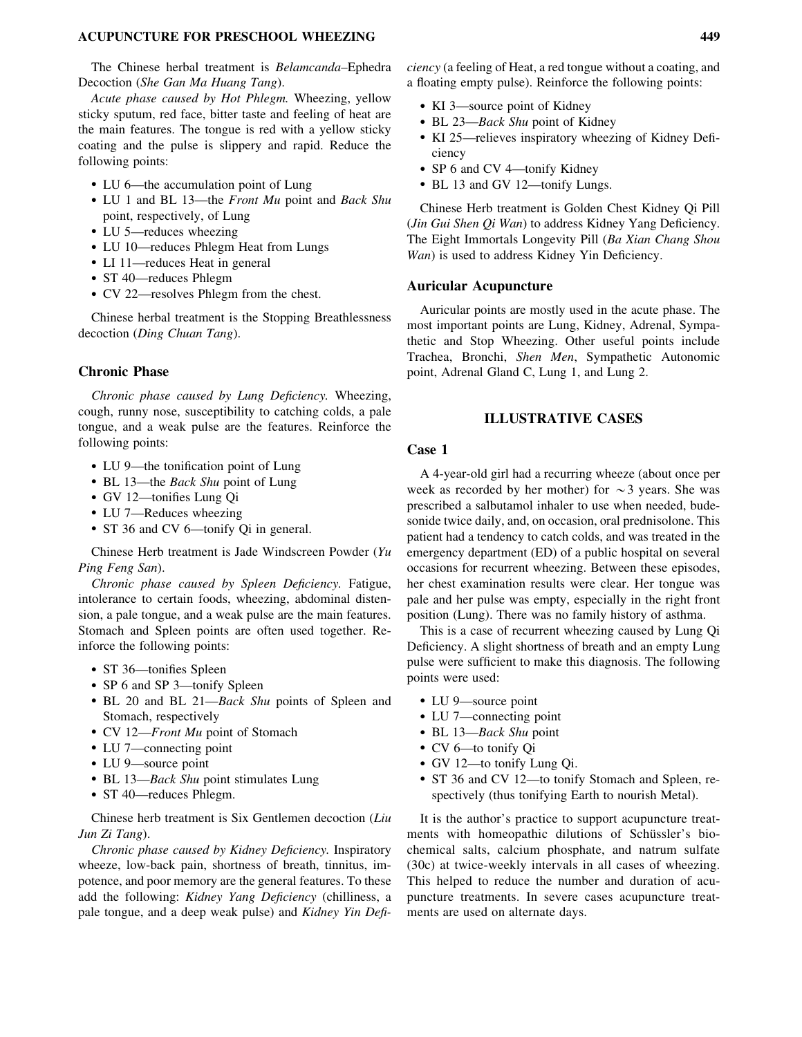#### ACUPUNCTURE FOR PRESCHOOL WHEEZING 449

The Chinese herbal treatment is Belamcanda–Ephedra Decoction (She Gan Ma Huang Tang).

Acute phase caused by Hot Phlegm. Wheezing, yellow sticky sputum, red face, bitter taste and feeling of heat are the main features. The tongue is red with a yellow sticky coating and the pulse is slippery and rapid. Reduce the following points:

- LU 6—the accumulation point of Lung
- LU 1 and BL 13—the *Front Mu* point and *Back Shu* point, respectively, of Lung
- LU 5—reduces wheezing
- LU 10—reduces Phlegm Heat from Lungs
- LI 11—reduces Heat in general
- ST 40—reduces Phlegm
- CV 22—resolves Phlegm from the chest.

Chinese herbal treatment is the Stopping Breathlessness decoction (Ding Chuan Tang).

## Chronic Phase

Chronic phase caused by Lung Deficiency. Wheezing, cough, runny nose, susceptibility to catching colds, a pale tongue, and a weak pulse are the features. Reinforce the following points:

- LU 9—the tonification point of Lung
- BL 13-the Back Shu point of Lung
- ! GV 12—tonifies Lung Qi
- LU 7—Reduces wheezing
- ST 36 and CV 6—tonify Qi in general.

Chinese Herb treatment is Jade Windscreen Powder (Yu Ping Feng San).

Chronic phase caused by Spleen Deficiency. Fatigue, intolerance to certain foods, wheezing, abdominal distension, a pale tongue, and a weak pulse are the main features. Stomach and Spleen points are often used together. Reinforce the following points:

- ST 36—tonifies Spleen
- SP 6 and SP 3—tonify Spleen
- BL 20 and BL 21—*Back Shu* points of Spleen and Stomach, respectively
- CV 12—*Front Mu* point of Stomach
- LU 7—connecting point
- LU 9—source point
- BL 13—Back Shu point stimulates Lung
- ST 40—reduces Phlegm.

Chinese herb treatment is Six Gentlemen decoction (Liu Jun Zi Tang).

Chronic phase caused by Kidney Deficiency. Inspiratory wheeze, low-back pain, shortness of breath, tinnitus, impotence, and poor memory are the general features. To these add the following: Kidney Yang Deficiency (chilliness, a pale tongue, and a deep weak pulse) and Kidney Yin Deficiency (a feeling of Heat, a red tongue without a coating, and a floating empty pulse). Reinforce the following points:

- KI 3—source point of Kidney
- BL 23-Back Shu point of Kidney
- ! KI 25—relieves inspiratory wheezing of Kidney Deficiency
- SP 6 and CV 4—tonify Kidney
- BL 13 and GV 12—tonify Lungs.

Chinese Herb treatment is Golden Chest Kidney Qi Pill (Jin Gui Shen Qi Wan) to address Kidney Yang Deficiency. The Eight Immortals Longevity Pill (Ba Xian Chang Shou Wan) is used to address Kidney Yin Deficiency.

## Auricular Acupuncture

Auricular points are mostly used in the acute phase. The most important points are Lung, Kidney, Adrenal, Sympathetic and Stop Wheezing. Other useful points include Trachea, Bronchi, Shen Men, Sympathetic Autonomic point, Adrenal Gland C, Lung 1, and Lung 2.

## ILLUSTRATIVE CASES

## Case 1

A 4-year-old girl had a recurring wheeze (about once per week as recorded by her mother) for  $\sim$ 3 years. She was prescribed a salbutamol inhaler to use when needed, budesonide twice daily, and, on occasion, oral prednisolone. This patient had a tendency to catch colds, and was treated in the emergency department (ED) of a public hospital on several occasions for recurrent wheezing. Between these episodes, her chest examination results were clear. Her tongue was pale and her pulse was empty, especially in the right front position (Lung). There was no family history of asthma.

This is a case of recurrent wheezing caused by Lung Qi Deficiency. A slight shortness of breath and an empty Lung pulse were sufficient to make this diagnosis. The following points were used:

- LU 9—source point
- LU 7—connecting point
- BL 13-Back Shu point
- CV 6-to tonify Qi
- GV 12—to tonify Lung Qi.
- ST 36 and CV 12—to tonify Stomach and Spleen, respectively (thus tonifying Earth to nourish Metal).

It is the author's practice to support acupuncture treatments with homeopathic dilutions of Schüssler's biochemical salts, calcium phosphate, and natrum sulfate (30c) at twice-weekly intervals in all cases of wheezing. This helped to reduce the number and duration of acupuncture treatments. In severe cases acupuncture treatments are used on alternate days.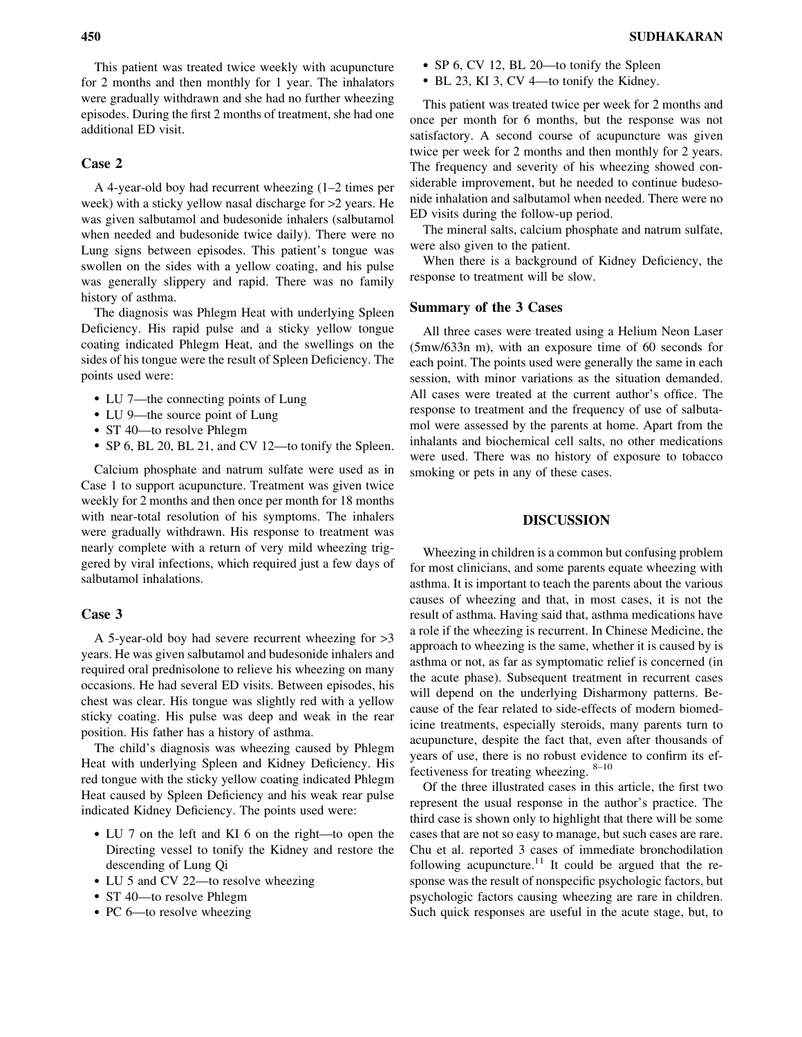This patient was treated twice weekly with acupuncture for 2 months and then monthly for 1 year. The inhalators were gradually withdrawn and she had no further wheezing episodes. During the first 2 months of treatment, she had one additional ED visit.

## Case 2

A 4-year-old boy had recurrent wheezing (1–2 times per week) with a sticky yellow nasal discharge for >2 years. He was given salbutamol and budesonide inhalers (salbutamol when needed and budesonide twice daily). There were no Lung signs between episodes. This patient's tongue was swollen on the sides with a yellow coating, and his pulse was generally slippery and rapid. There was no family history of asthma.

The diagnosis was Phlegm Heat with underlying Spleen Deficiency. His rapid pulse and a sticky yellow tongue coating indicated Phlegm Heat, and the swellings on the sides of his tongue were the result of Spleen Deficiency. The points used were:

- LU 7—the connecting points of Lung
- LU 9—the source point of Lung
- ST 40-to resolve Phlegm
- ! SP 6, BL 20, BL 21, and CV 12—to tonify the Spleen.

Calcium phosphate and natrum sulfate were used as in Case 1 to support acupuncture. Treatment was given twice weekly for 2 months and then once per month for 18 months with near-total resolution of his symptoms. The inhalers were gradually withdrawn. His response to treatment was nearly complete with a return of very mild wheezing triggered by viral infections, which required just a few days of salbutamol inhalations.

#### Case 3

A 5-year-old boy had severe recurrent wheezing for >3 years. He was given salbutamol and budesonide inhalers and required oral prednisolone to relieve his wheezing on many occasions. He had several ED visits. Between episodes, his chest was clear. His tongue was slightly red with a yellow sticky coating. His pulse was deep and weak in the rear position. His father has a history of asthma.

The child's diagnosis was wheezing caused by Phlegm Heat with underlying Spleen and Kidney Deficiency. His red tongue with the sticky yellow coating indicated Phlegm Heat caused by Spleen Deficiency and his weak rear pulse indicated Kidney Deficiency. The points used were:

- LU 7 on the left and KI 6 on the right—to open the Directing vessel to tonify the Kidney and restore the descending of Lung Qi
- LU 5 and CV 22—to resolve wheezing
- ST 40—to resolve Phlegm
- PC 6—to resolve wheezing
- SP 6, CV 12, BL 20—to tonify the Spleen
- BL 23, KI 3, CV 4—to tonify the Kidney.

This patient was treated twice per week for 2 months and once per month for 6 months, but the response was not satisfactory. A second course of acupuncture was given twice per week for 2 months and then monthly for 2 years. The frequency and severity of his wheezing showed considerable improvement, but he needed to continue budesonide inhalation and salbutamol when needed. There were no ED visits during the follow-up period.

The mineral salts, calcium phosphate and natrum sulfate, were also given to the patient.

When there is a background of Kidney Deficiency, the response to treatment will be slow.

#### Summary of the 3 Cases

All three cases were treated using a Helium Neon Laser (5mw/633n m), with an exposure time of 60 seconds for each point. The points used were generally the same in each session, with minor variations as the situation demanded. All cases were treated at the current author's office. The response to treatment and the frequency of use of salbutamol were assessed by the parents at home. Apart from the inhalants and biochemical cell salts, no other medications were used. There was no history of exposure to tobacco smoking or pets in any of these cases.

#### DISCUSSION

Wheezing in children is a common but confusing problem for most clinicians, and some parents equate wheezing with asthma. It is important to teach the parents about the various causes of wheezing and that, in most cases, it is not the result of asthma. Having said that, asthma medications have a role if the wheezing is recurrent. In Chinese Medicine, the approach to wheezing is the same, whether it is caused by is asthma or not, as far as symptomatic relief is concerned (in the acute phase). Subsequent treatment in recurrent cases will depend on the underlying Disharmony patterns. Because of the fear related to side-effects of modern biomedicine treatments, especially steroids, many parents turn to acupuncture, despite the fact that, even after thousands of years of use, there is no robust evidence to confirm its effectiveness for treating wheezing. 8–10

Of the three illustrated cases in this article, the first two represent the usual response in the author's practice. The third case is shown only to highlight that there will be some cases that are not so easy to manage, but such cases are rare. Chu et al. reported 3 cases of immediate bronchodilation following acupuncture.<sup>11</sup> It could be argued that the response was the result of nonspecific psychologic factors, but psychologic factors causing wheezing are rare in children. Such quick responses are useful in the acute stage, but, to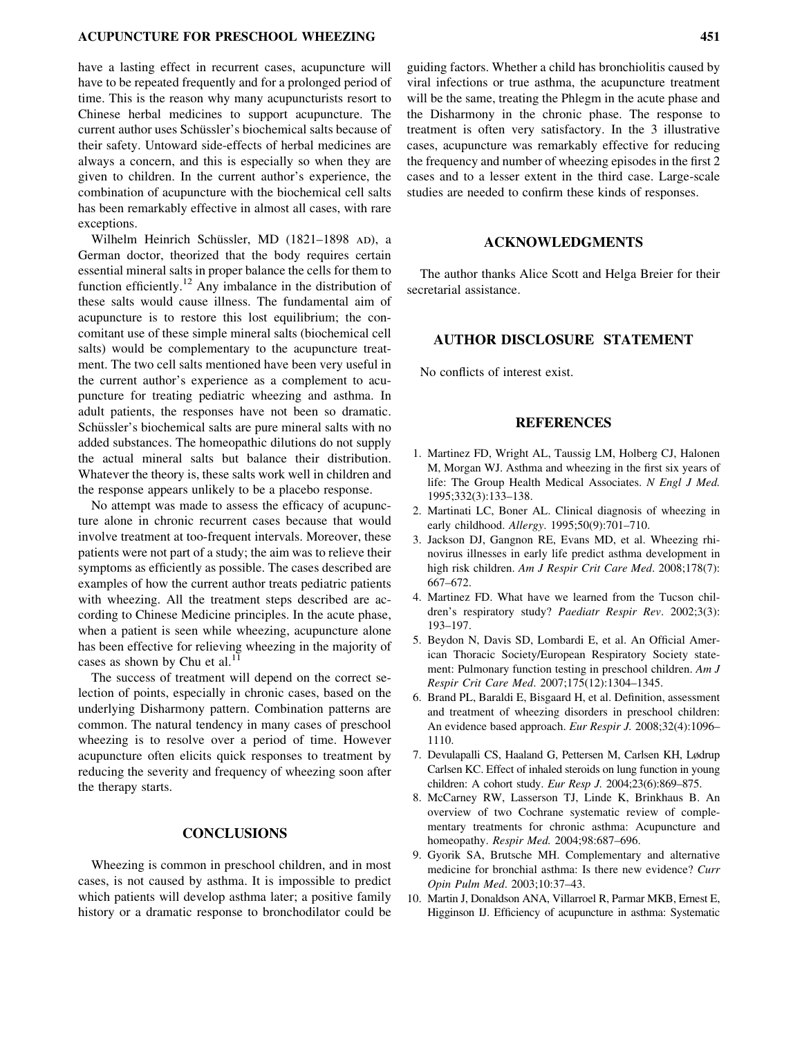#### ACUPUNCTURE FOR PRESCHOOL WHEEZING 451

have a lasting effect in recurrent cases, acupuncture will have to be repeated frequently and for a prolonged period of time. This is the reason why many acupuncturists resort to Chinese herbal medicines to support acupuncture. The current author uses Schüssler's biochemical salts because of their safety. Untoward side-effects of herbal medicines are always a concern, and this is especially so when they are given to children. In the current author's experience, the combination of acupuncture with the biochemical cell salts has been remarkably effective in almost all cases, with rare exceptions.

Wilhelm Heinrich Schüssler, MD (1821–1898 AD), a German doctor, theorized that the body requires certain essential mineral salts in proper balance the cells for them to function efficiently.<sup>12</sup> Any imbalance in the distribution of these salts would cause illness. The fundamental aim of acupuncture is to restore this lost equilibrium; the concomitant use of these simple mineral salts (biochemical cell salts) would be complementary to the acupuncture treatment. The two cell salts mentioned have been very useful in the current author's experience as a complement to acupuncture for treating pediatric wheezing and asthma. In adult patients, the responses have not been so dramatic. Schüssler's biochemical salts are pure mineral salts with no added substances. The homeopathic dilutions do not supply the actual mineral salts but balance their distribution. Whatever the theory is, these salts work well in children and the response appears unlikely to be a placebo response.

No attempt was made to assess the efficacy of acupuncture alone in chronic recurrent cases because that would involve treatment at too-frequent intervals. Moreover, these patients were not part of a study; the aim was to relieve their symptoms as efficiently as possible. The cases described are examples of how the current author treats pediatric patients with wheezing. All the treatment steps described are according to Chinese Medicine principles. In the acute phase, when a patient is seen while wheezing, acupuncture alone has been effective for relieving wheezing in the majority of cases as shown by Chu et al. $^{11}$ 

The success of treatment will depend on the correct selection of points, especially in chronic cases, based on the underlying Disharmony pattern. Combination patterns are common. The natural tendency in many cases of preschool wheezing is to resolve over a period of time. However acupuncture often elicits quick responses to treatment by reducing the severity and frequency of wheezing soon after the therapy starts.

## **CONCLUSIONS**

Wheezing is common in preschool children, and in most cases, is not caused by asthma. It is impossible to predict which patients will develop asthma later; a positive family history or a dramatic response to bronchodilator could be

guiding factors. Whether a child has bronchiolitis caused by viral infections or true asthma, the acupuncture treatment will be the same, treating the Phlegm in the acute phase and the Disharmony in the chronic phase. The response to treatment is often very satisfactory. In the 3 illustrative cases, acupuncture was remarkably effective for reducing the frequency and number of wheezing episodes in the first 2 cases and to a lesser extent in the third case. Large-scale studies are needed to confirm these kinds of responses.

#### ACKNOWLEDGMENTS

The author thanks Alice Scott and Helga Breier for their secretarial assistance.

## AUTHOR DISCLOSURE STATEMENT

No conflicts of interest exist.

#### REFERENCES

- 1. Martinez FD, Wright AL, Taussig LM, Holberg CJ, Halonen M, Morgan WJ. Asthma and wheezing in the first six years of life: The Group Health Medical Associates. [N Engl J Med.](http://online.liebertpub.com/action/showLinks?pmid=7800004&crossref=10.1056%2FNEJM199501193320301) 1995;332(3):133–138.
- 2. Martinati LC, Boner AL. Clinical diagnosis of wheezing in early childhood. [Allergy](http://online.liebertpub.com/action/showLinks?pmid=8546263&crossref=10.1111%2Fj.1398-9995.1995.tb01210.x). 1995;50(9):701–710.
- 3. Jackson DJ, Gangnon RE, Evans MD, et al. Wheezing rhinovirus illnesses in early life predict asthma development in high risk children. [Am J Respir Crit Care Med](http://online.liebertpub.com/action/showLinks?pmid=18565953&crossref=10.1164%2Frccm.200802-309OC). 2008;178(7): 667–672.
- 4. Martinez FD. What have we learned from the Tucson chil-dren's respiratory study? [Paediatr Respir Rev](http://online.liebertpub.com/action/showLinks?pmid=12376055&crossref=10.1016%2FS1526-0542%2802%2900188-4). 2002;3(3): 193–197.
- 5. Beydon N, Davis SD, Lombardi E, et al. An Official American Thoracic Society/European Respiratory Society statement: Pulmonary function testing in preschool children. [Am J](http://online.liebertpub.com/action/showLinks?pmid=17545458&crossref=10.1164%2Frccm.200605-642ST) [Respir Crit Care Med](http://online.liebertpub.com/action/showLinks?pmid=17545458&crossref=10.1164%2Frccm.200605-642ST). 2007;175(12):1304–1345.
- 6. Brand PL, Baraldi E, Bisgaard H, et al. Definition, assessment and treatment of wheezing disorders in preschool children: An evidence based approach. [Eur Respir J](http://online.liebertpub.com/action/showLinks?pmid=18827155&crossref=10.1183%2F09031936.00002108). 2008;32(4):1096– 1110.
- 7. Devulapalli CS, Haaland G, Pettersen M, Carlsen KH, Lødrup Carlsen KC. Effect of inhaled steroids on lung function in young children: A cohort study. [Eur Resp J.](http://online.liebertpub.com/action/showLinks?pmid=15219000&crossref=10.1183%2F09031936.04.00095304) 2004;23(6):869–875.
- 8. McCarney RW, Lasserson TJ, Linde K, Brinkhaus B. An overview of two Cochrane systematic review of complementary treatments for chronic asthma: Acupuncture and homeopathy. [Respir Med.](http://online.liebertpub.com/action/showLinks?pmid=15303632&crossref=10.1016%2Fj.rmed.2004.05.005) 2004;98:687–696.
- 9. Gyorik SA, Brutsche MH. Complementary and alternative medicine for bronchial asthma: Is there new evidence? [Curr](http://online.liebertpub.com/action/showLinks?crossref=10.1097%2F00063198-200401000-00007) [Opin Pulm Med](http://online.liebertpub.com/action/showLinks?crossref=10.1097%2F00063198-200401000-00007). 2003;10:37–43.
- 10. Martin J, Donaldson ANA, Villarroel R, Parmar MKB, Ernest E, Higginson IJ. Efficiency of acupuncture in asthma: Systematic